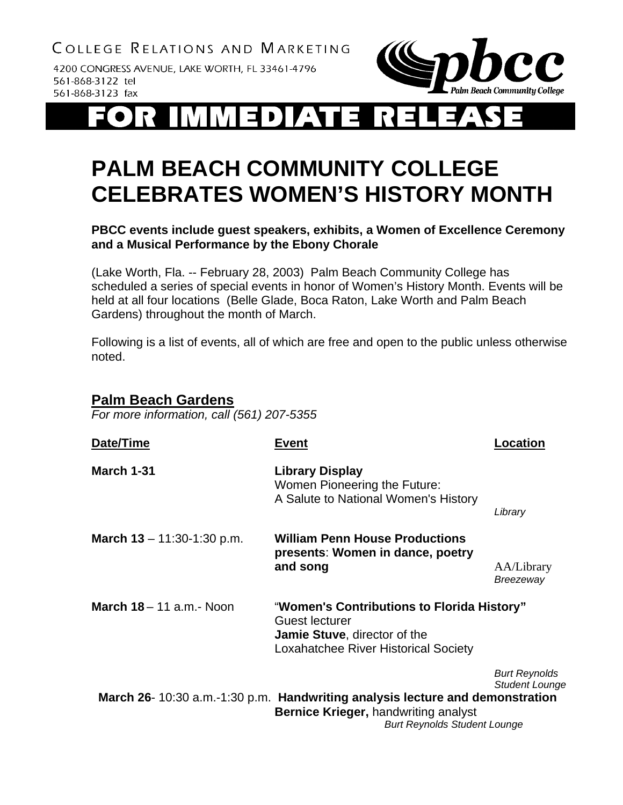4200 CONGRESS AVENUE, LAKE WORTH, FL 33461-4796 561-868-3122 tel 561-868-3123 fax



# $\blacksquare$

## **PALM BEACH COMMUNITY COLLEGE CELEBRATES WOMEN'S HISTORY MONTH**

**PBCC events include guest speakers, exhibits, a Women of Excellence Ceremony and a Musical Performance by the Ebony Chorale** 

(Lake Worth, Fla. -- February 28, 2003) Palm Beach Community College has scheduled a series of special events in honor of Women's History Month. Events will be held at all four locations (Belle Glade, Boca Raton, Lake Worth and Palm Beach Gardens) throughout the month of March.

Following is a list of events, all of which are free and open to the public unless otherwise noted.

#### **Palm Beach Gardens**

*For more information, call (561) 207-5355* 

| Date/Time                          | <b>Event</b>                                                                                                                                                       | Location                                      |
|------------------------------------|--------------------------------------------------------------------------------------------------------------------------------------------------------------------|-----------------------------------------------|
| <b>March 1-31</b>                  | <b>Library Display</b><br>Women Pioneering the Future:<br>A Salute to National Women's History                                                                     | Library                                       |
| <b>March 13</b> – 11:30-1:30 p.m.  | <b>William Penn House Productions</b><br>presents: Women in dance, poetry<br>and song                                                                              | AA/Library<br>Breezeway                       |
| <b>March 18</b> $-$ 11 a.m. - Noon | "Women's Contributions to Florida History"<br>Guest lecturer<br><b>Jamie Stuve, director of the</b><br><b>Loxahatchee River Historical Society</b>                 |                                               |
|                                    | March 26-10:30 a.m.-1:30 p.m. Handwriting analysis lecture and demonstration<br><b>Bernice Krieger, handwriting analyst</b><br><b>Burt Reynolds Student Lounge</b> | <b>Burt Reynolds</b><br><b>Student Lounge</b> |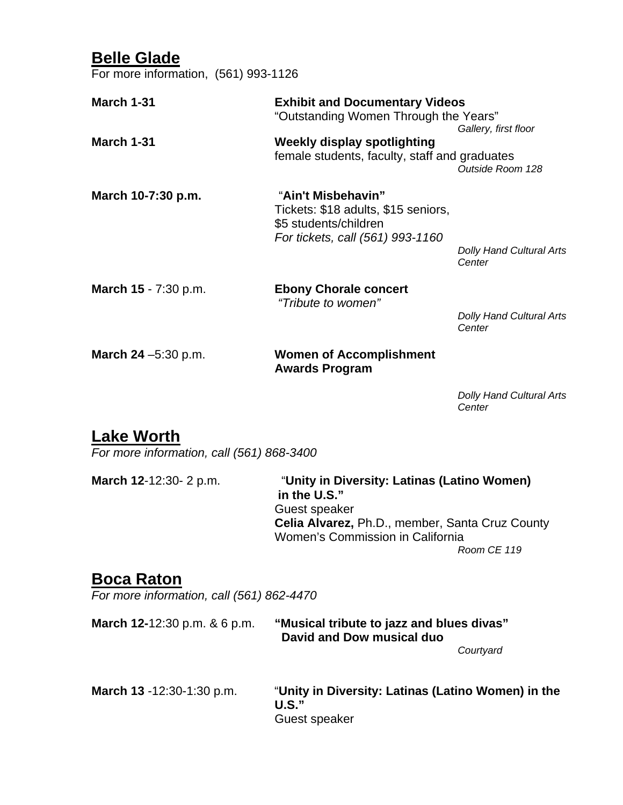## **Belle Glade**

For more information, (561) 993-1126

| <b>March 1-31</b>            | <b>Exhibit and Documentary Videos</b><br>"Outstanding Women Through the Years"                                         |                                           |  |
|------------------------------|------------------------------------------------------------------------------------------------------------------------|-------------------------------------------|--|
|                              |                                                                                                                        | Gallery, first floor                      |  |
| <b>March 1-31</b>            | <b>Weekly display spotlighting</b><br>female students, faculty, staff and graduates                                    | Outside Room 128                          |  |
| March 10-7:30 p.m.           | "Ain't Misbehavin"<br>Tickets: \$18 adults, \$15 seniors,<br>\$5 students/children<br>For tickets, call (561) 993-1160 |                                           |  |
|                              |                                                                                                                        | <b>Dolly Hand Cultural Arts</b><br>Center |  |
| March 15 - 7:30 p.m.         | <b>Ebony Chorale concert</b><br>"Tribute to women"                                                                     |                                           |  |
|                              |                                                                                                                        | <b>Dolly Hand Cultural Arts</b><br>Center |  |
| <b>March 24</b> $-5:30$ p.m. | <b>Women of Accomplishment</b><br><b>Awards Program</b>                                                                |                                           |  |

*Dolly Hand Cultural Arts Center* 

### **Lake Worth**

*For more information, call (561) 868-3400* 

**March 12**-12:30- 2 p.m. "**Unity in Diversity: Latinas (Latino Women) in the U.S."** Guest speaker **Celia Alvarez,** Ph.D., member, Santa Cruz County Women's Commission in California *Room CE 119*

## **Boca Raton**

*For more information, call (561) 862-4470* 

| <b>March 12-12:30 p.m. &amp; 6 p.m.</b> | "Musical tribute to jazz and blues divas"<br>David and Dow musical duo |
|-----------------------------------------|------------------------------------------------------------------------|
|                                         | Courtyard                                                              |
| March 13 -12:30-1:30 p.m.               | "Unity in Diversity: Latinas (Latino Women) in the<br>U.S."            |
|                                         | Guest speaker                                                          |